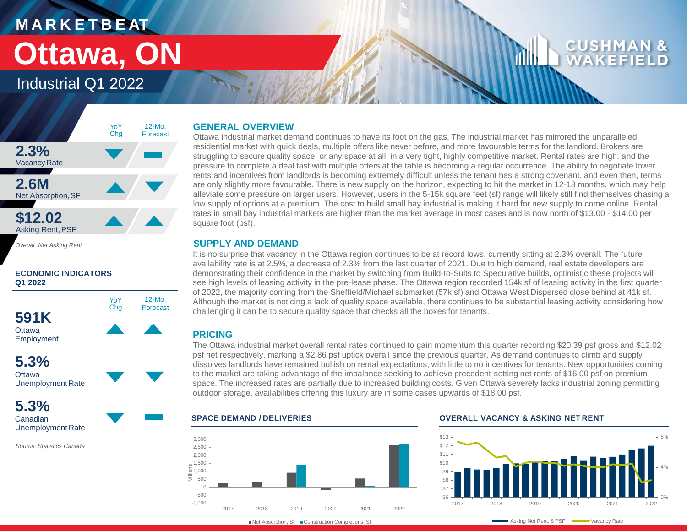## **M A R K E T B E AT Ottawa, ON**

## Industrial Q1 2022



*Overall, Net Asking Rent*

#### **ECONOMIC INDICATORS Q1 2022**





**5.3%** Canadian Unemployment Rate

*Source: Statistics Canada*

#### **GENERAL OVERVIEW**

Ottawa industrial market demand continues to have its foot on the gas. The industrial market has mirrored the unparalleled residential market with quick deals, multiple offers like never before, and more favourable terms for the landlord. Brokers are struggling to secure quality space, or any space at all, in a very tight, highly competitive market. Rental rates are high, and the pressure to complete a deal fast with multiple offers at the table is becoming a regular occurrence. The ability to negotiate lower rents and incentives from landlords is becoming extremely difficult unless the tenant has a strong covenant, and even then, terms are only slightly more favourable. There is new supply on the horizon, expecting to hit the market in 12-18 months, which may help alleviate some pressure on larger users. However, users in the 5-15k square feet (sf) range will likely still find themselves chasing a low supply of options at a premium. The cost to build small bay industrial is making it hard for new supply to come online. Rental rates in small bay industrial markets are higher than the market average in most cases and is now north of \$13.00 - \$14.00 per square foot (psf).

### **SUPPLY AND DEMAND**

It is no surprise that vacancy in the Ottawa region continues to be at record lows, currently sitting at 2.3% overall. The future availability rate is at 2.5%, a decrease of 2.3% from the last quarter of 2021. Due to high demand, real estate developers are demonstrating their confidence in the market by switching from Build-to-Suits to Speculative builds, optimistic these projects will see high levels of leasing activity in the pre-lease phase. The Ottawa region recorded 154k sf of leasing activity in the first quarter of 2022, the majority coming from the Sheffield/Michael submarket (57k sf) and Ottawa West Dispersed close behind at 41k sf. Although the market is noticing a lack of quality space available, there continues to be substantial leasing activity considering how challenging it can be to secure quality space that checks all the boxes for tenants.

### **PRICING**

The Ottawa industrial market overall rental rates continued to gain momentum this quarter recording \$20.39 psf gross and \$12.02 psf net respectively, marking a \$2.86 psf uptick overall since the previous quarter. As demand continues to climb and supply dissolves landlords have remained bullish on rental expectations, with little to no incentives for tenants. New opportunities coming to the market are taking advantage of the imbalance seeking to achieve precedent-setting net rents of \$16.00 psf on premium space. The increased rates are partially due to increased building costs. Given Ottawa severely lacks industrial zoning permitting outdoor storage, availabilities offering this luxury are in some cases upwards of \$18.00 psf.



#### **SPACE DEMAND / DELIVERIES OVERALL VACANCY & ASKING NET RENT**



■ Net Absorption, SF ■ Construction Completions, SF

Asking Net Rent, \$ PSF  $\longrightarrow$  Vacancy Rate